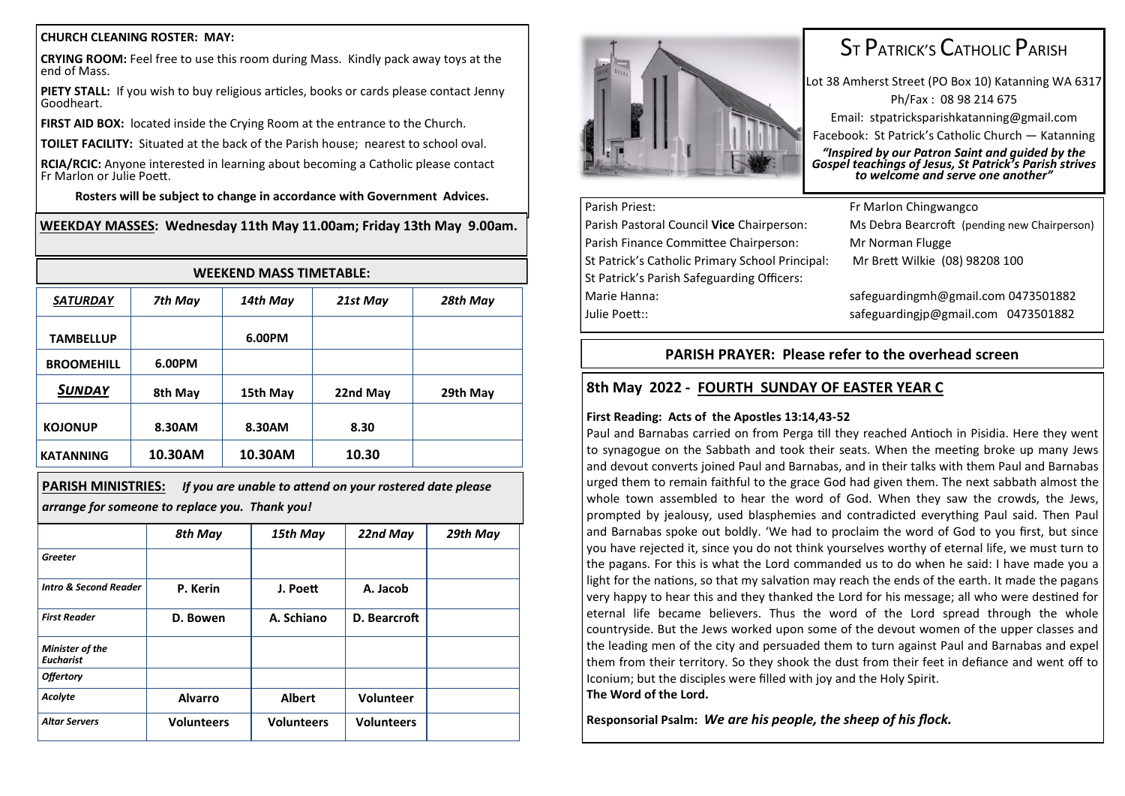#### **CHURCH CLEANING ROSTER: MAY:**

**CRYING ROOM:** Feel free to use this room during Mass. Kindly pack away toys at the end of Mass.

**PIETY STALL:** If you wish to buy religious articles, books or cards please contact Jenny Goodheart.

**FIRST AID BOX:** located inside the Crying Room at the entrance to the Church.

**TOILET FACILITY:** Situated at the back of the Parish house; nearest to school oval.

**RCIA/RCIC:** Anyone interested in learning about becoming a Catholic please contact Fr Marlon or Julie Poett.

**Rosters will be subject to change in accordance with Government Advices.**

#### **WEEKDAY MASSES: Wednesday 11th May 11.00am; Friday 13th May 9.00am.**

| <b>WEEKEND MASS TIMETABLE:</b> |         |          |          |          |  |  |
|--------------------------------|---------|----------|----------|----------|--|--|
| <b>SATURDAY</b>                | 7th May | 14th May | 21st May | 28th May |  |  |
| <b>TAMBELLUP</b>               |         | 6.00PM   |          |          |  |  |
| <b>BROOMEHILL</b>              | 6.00PM  |          |          |          |  |  |
| <b>SUNDAY</b>                  | 8th May | 15th May | 22nd May | 29th May |  |  |
| <b>KOJONUP</b>                 | 8.30AM  | 8.30AM   | 8.30     |          |  |  |
| <b>KATANNING</b>               | 10.30AM | 10.30AM  | 10.30    |          |  |  |

**PARISH MINISTRIES:** *If you are unable to attend on your rostered date please arrange for someone to replace you. Thank you!*

|                                            | 8th May           | 15th May          | 22nd May          | 29th May |
|--------------------------------------------|-------------------|-------------------|-------------------|----------|
| Greeter                                    |                   |                   |                   |          |
| <b>Intro &amp; Second Reader</b>           | P. Kerin          | J. Poett          | A. Jacob          |          |
| <b>First Reader</b>                        | D. Bowen          | A. Schiano        | D. Bearcroft      |          |
| <b>Minister of the</b><br><b>Eucharist</b> |                   |                   |                   |          |
| <b>Offertory</b>                           |                   |                   |                   |          |
| Acolyte                                    | <b>Alvarro</b>    | <b>Albert</b>     | Volunteer         |          |
| <b>Altar Servers</b>                       | <b>Volunteers</b> | <b>Volunteers</b> | <b>Volunteers</b> |          |



# ST PATRICK'S CATHOLIC PARISH

Lot 38 Amherst Street (PO Box 10) Katanning WA 6317 Ph/Fax : 08 98 214 675 Email: stpatricksparishkatanning@gmail.com Facebook: St Patrick's Catholic Church — Katanning *"Inspired by our Patron Saint and guided by the Gospel teachings of Jesus, St Patrick's Parish strives to welcome and serve one another"*

## Parish Priest: Fr Marlon Chingwangco Parish Finance Committee Chairperson: Mr Norman Flugge St Patrick's Catholic Primary School Principal: Mr Brett Wilkie (08) 98208 100 St Patrick's Parish Safeguarding Officers: Marie Hanna: safeguardingmh@gmail.com 0473501882 Julie Poett:: safeguardingjp@gmail.com 0473501882

Parish Pastoral Council **Vice** Chairperson: Ms Debra Bearcroft (pending new Chairperson)

### **PARISH PRAYER: Please refer to the overhead screen**

### **8th May 2022 - FOURTH SUNDAY OF EASTER YEAR C**

#### **First Reading: Acts of the Apostles 13:14,43-52**

Paul and Barnabas carried on from Perga till they reached Antioch in Pisidia. Here they went to synagogue on the Sabbath and took their seats. When the meeting broke up many Jews and devout converts joined Paul and Barnabas, and in their talks with them Paul and Barnabas urged them to remain faithful to the grace God had given them. The next sabbath almost the whole town assembled to hear the word of God. When they saw the crowds, the Jews, prompted by jealousy, used blasphemies and contradicted everything Paul said. Then Paul and Barnabas spoke out boldly. 'We had to proclaim the word of God to you first, but since you have rejected it, since you do not think yourselves worthy of eternal life, we must turn to the pagans. For this is what the Lord commanded us to do when he said: I have made you a light for the nations, so that my salvation may reach the ends of the earth. It made the pagans very happy to hear this and they thanked the Lord for his message; all who were destined for eternal life became believers. Thus the word of the Lord spread through the whole countryside. But the Jews worked upon some of the devout women of the upper classes and the leading men of the city and persuaded them to turn against Paul and Barnabas and expel them from their territory. So they shook the dust from their feet in defiance and went off to Iconium; but the disciples were filled with joy and the Holy Spirit.

#### **The Word of the Lord.**

**Responsorial Psalm:** *We are his people, the sheep of his flock.*